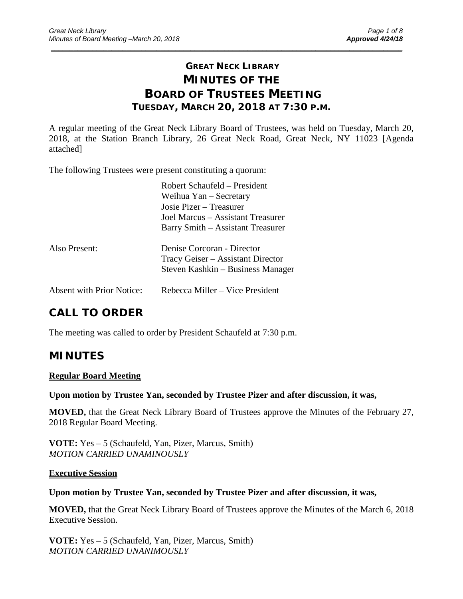# **GREAT NECK LIBRARY MINUTES OF THE BOARD OF TRUSTEES MEETING TUESDAY, MARCH 20, 2018 AT 7:30 P.M.**

\_\_\_\_\_\_\_\_\_\_\_\_\_\_\_\_\_\_\_\_\_\_\_\_\_\_\_\_\_\_\_\_\_\_\_\_\_\_\_\_\_\_\_\_\_\_\_\_\_\_\_\_\_\_\_\_\_\_\_\_\_\_\_\_\_\_\_\_\_\_\_\_\_\_\_\_\_\_\_\_\_\_\_\_\_\_\_\_\_\_\_\_\_

A regular meeting of the Great Neck Library Board of Trustees, was held on Tuesday, March 20, 2018, at the Station Branch Library, 26 Great Neck Road, Great Neck, NY 11023 [Agenda attached]

The following Trustees were present constituting a quorum:

|                                  | Robert Schaufeld – President      |
|----------------------------------|-----------------------------------|
|                                  | Weihua Yan – Secretary            |
|                                  | Josie Pizer – Treasurer           |
|                                  | Joel Marcus – Assistant Treasurer |
|                                  | Barry Smith – Assistant Treasurer |
| Also Present:                    | Denise Corcoran - Director        |
|                                  | Tracy Geiser – Assistant Director |
|                                  | Steven Kashkin – Business Manager |
| <b>Absent with Prior Notice:</b> | Rebecca Miller – Vice President   |

# **CALL TO ORDER**

The meeting was called to order by President Schaufeld at 7:30 p.m.

# **MINUTES**

## **Regular Board Meeting**

### **Upon motion by Trustee Yan, seconded by Trustee Pizer and after discussion, it was,**

**MOVED,** that the Great Neck Library Board of Trustees approve the Minutes of the February 27, 2018 Regular Board Meeting.

**VOTE:** Yes – 5 (Schaufeld, Yan, Pizer, Marcus, Smith) *MOTION CARRIED UNAMINOUSLY*

### **Executive Session**

### **Upon motion by Trustee Yan, seconded by Trustee Pizer and after discussion, it was,**

**MOVED,** that the Great Neck Library Board of Trustees approve the Minutes of the March 6, 2018 Executive Session.

**VOTE:** Yes – 5 (Schaufeld, Yan, Pizer, Marcus, Smith) *MOTION CARRIED UNANIMOUSLY*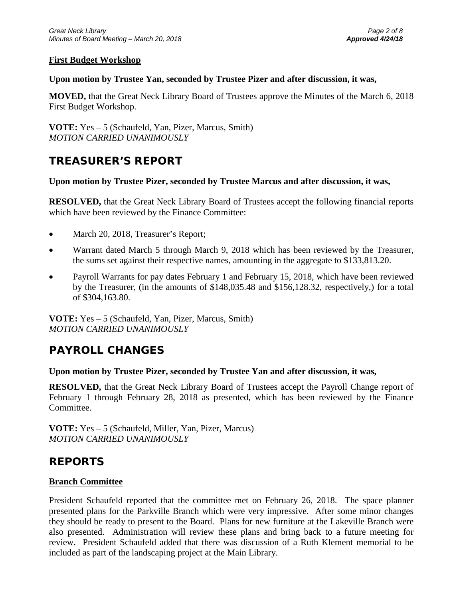## **First Budget Workshop**

### **Upon motion by Trustee Yan, seconded by Trustee Pizer and after discussion, it was,**

**MOVED,** that the Great Neck Library Board of Trustees approve the Minutes of the March 6, 2018 First Budget Workshop.

**VOTE:** Yes – 5 (Schaufeld, Yan, Pizer, Marcus, Smith) *MOTION CARRIED UNANIMOUSLY*

# **TREASURER'S REPORT**

## **Upon motion by Trustee Pizer, seconded by Trustee Marcus and after discussion, it was,**

**RESOLVED,** that the Great Neck Library Board of Trustees accept the following financial reports which have been reviewed by the Finance Committee:

- March 20, 2018, Treasurer's Report;
- Warrant dated March 5 through March 9, 2018 which has been reviewed by the Treasurer, the sums set against their respective names, amounting in the aggregate to \$133,813.20.
- Payroll Warrants for pay dates February 1 and February 15, 2018, which have been reviewed by the Treasurer, (in the amounts of \$148,035.48 and \$156,128.32, respectively,) for a total of \$304,163.80.

**VOTE:** Yes – 5 (Schaufeld, Yan, Pizer, Marcus, Smith) *MOTION CARRIED UNANIMOUSLY*

# **PAYROLL CHANGES**

### **Upon motion by Trustee Pizer, seconded by Trustee Yan and after discussion, it was,**

**RESOLVED,** that the Great Neck Library Board of Trustees accept the Payroll Change report of February 1 through February 28, 2018 as presented, which has been reviewed by the Finance Committee.

**VOTE:** Yes – 5 (Schaufeld, Miller, Yan, Pizer, Marcus) *MOTION CARRIED UNANIMOUSLY*

# **REPORTS**

## **Branch Committee**

President Schaufeld reported that the committee met on February 26, 2018. The space planner presented plans for the Parkville Branch which were very impressive. After some minor changes they should be ready to present to the Board. Plans for new furniture at the Lakeville Branch were also presented. Administration will review these plans and bring back to a future meeting for review. President Schaufeld added that there was discussion of a Ruth Klement memorial to be included as part of the landscaping project at the Main Library.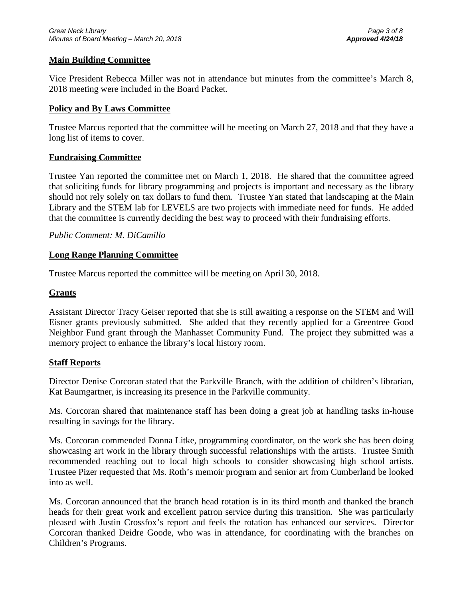## **Main Building Committee**

Vice President Rebecca Miller was not in attendance but minutes from the committee's March 8, 2018 meeting were included in the Board Packet.

### **Policy and By Laws Committee**

Trustee Marcus reported that the committee will be meeting on March 27, 2018 and that they have a long list of items to cover.

### **Fundraising Committee**

Trustee Yan reported the committee met on March 1, 2018. He shared that the committee agreed that soliciting funds for library programming and projects is important and necessary as the library should not rely solely on tax dollars to fund them. Trustee Yan stated that landscaping at the Main Library and the STEM lab for LEVELS are two projects with immediate need for funds. He added that the committee is currently deciding the best way to proceed with their fundraising efforts.

## *Public Comment: M. DiCamillo*

### **Long Range Planning Committee**

Trustee Marcus reported the committee will be meeting on April 30, 2018.

## **Grants**

Assistant Director Tracy Geiser reported that she is still awaiting a response on the STEM and Will Eisner grants previously submitted. She added that they recently applied for a Greentree Good Neighbor Fund grant through the Manhasset Community Fund. The project they submitted was a memory project to enhance the library's local history room.

### **Staff Reports**

Director Denise Corcoran stated that the Parkville Branch, with the addition of children's librarian, Kat Baumgartner, is increasing its presence in the Parkville community.

Ms. Corcoran shared that maintenance staff has been doing a great job at handling tasks in-house resulting in savings for the library.

Ms. Corcoran commended Donna Litke, programming coordinator, on the work she has been doing showcasing art work in the library through successful relationships with the artists. Trustee Smith recommended reaching out to local high schools to consider showcasing high school artists. Trustee Pizer requested that Ms. Roth's memoir program and senior art from Cumberland be looked into as well.

Ms. Corcoran announced that the branch head rotation is in its third month and thanked the branch heads for their great work and excellent patron service during this transition. She was particularly pleased with Justin Crossfox's report and feels the rotation has enhanced our services. Director Corcoran thanked Deidre Goode, who was in attendance, for coordinating with the branches on Children's Programs.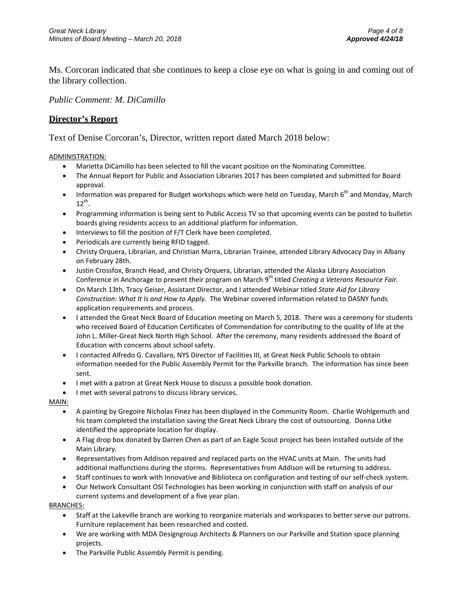Ms. Corcoran indicated that she continues to keep a close eye on what is going in and coming out of the library collection.

*Public Comment: M. DiCamillo*

### **Director's Report**

Text of Denise Corcoran's, Director, written report dated March 2018 below:

#### ADMINISTRATION:

- Marietta DiCamillo has been selected to fill the vacant position on the Nominating Committee.
- The Annual Report for Public and Association Libraries 2017 has been completed and submitted for Board approval.
- Information was prepared for Budget workshops which were held on Tuesday, March  $6<sup>th</sup>$  and Monday, March  $12^{th}$ .
- Programming information is being sent to Public Access TV so that upcoming events can be posted to bulletin boards giving residents access to an additional platform for information.
- Interviews to fill the position of F/T Clerk have been completed.
- Periodicals are currently being RFID tagged.
- Christy Orquera, Librarian, and Christian Marra, Librarian Trainee, attended Library Advocacy Day in Albany on February 28th.
- Justin Crossfox, Branch Head, and Christy Orquera, Librarian, attended the Alaska Library Association Conference in Anchorage to present their program on March 9<sup>th</sup> titled *Creating a Veterans Resource Fair.*
- On March 13th, Tracy Geiser, Assistant Director, and I attended Webinar titled *State Aid for Library Construction: What It Is and How to Apply.* The Webinar covered information related to DASNY funds application requirements and process.
- I attended the Great Neck Board of Education meeting on March 5, 2018. There was a ceremony for students who received Board of Education Certificates of Commendation for contributing to the quality of life at the John L. Miller-Great Neck North High School. After the ceremony, many residents addressed the Board of Education with concerns about school safety.
- I contacted Alfredo G. Cavallaro, NYS Director of Facilities III, at Great Neck Public Schools to obtain information needed for the Public Assembly Permit for the Parkville branch. The information has since been sent.
- I met with a patron at Great Neck House to discuss a possible book donation.
- I met with several patrons to discuss library services.

#### MAIN:

- A painting by Gregoire Nicholas Finez has been displayed in the Community Room. Charlie Wohlgemuth and his team completed the installation saving the Great Neck Library the cost of outsourcing. Donna Litke identified the appropriate location for display.
- A Flag drop box donated by Darren Chen as part of an Eagle Scout project has been installed outside of the Main Library.
- Representatives from Addison repaired and replaced parts on the HVAC units at Main. The units had additional malfunctions during the storms. Representatives from Addison will be returning to address.
- Staff continues to work with Innovative and Biblioteca on configuration and testing of our self-check system.
- Our Network Consultant OSI Technologies has been working in conjunction with staff on analysis of our current systems and development of a five year plan.

#### BRANCHES:

- Staff at the Lakeville branch are working to reorganize materials and workspaces to better serve our patrons. Furniture replacement has been researched and costed.
- We are working with MDA Designgroup Architects & Planners on our Parkville and Station space planning projects.
- The Parkville Public Assembly Permit is pending.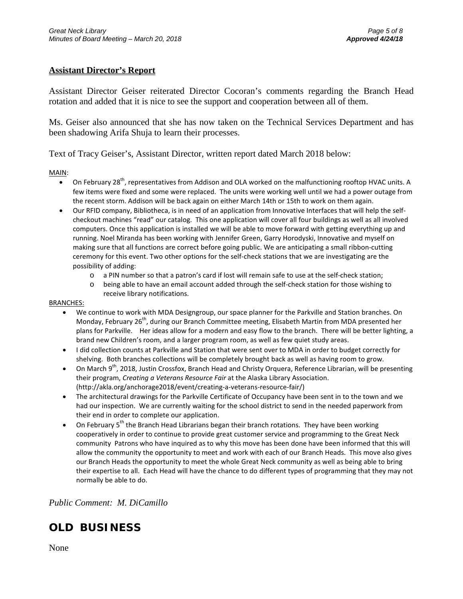## **Assistant Director's Report**

Assistant Director Geiser reiterated Director Cocoran's comments regarding the Branch Head rotation and added that it is nice to see the support and cooperation between all of them.

Ms. Geiser also announced that she has now taken on the Technical Services Department and has been shadowing Arifa Shuja to learn their processes.

Text of Tracy Geiser's, Assistant Director, written report dated March 2018 below:

MAIN:

- On February 28<sup>th</sup>, representatives from Addison and OLA worked on the malfunctioning rooftop HVAC units. A few items were fixed and some were replaced. The units were working well until we had a power outage from the recent storm. Addison will be back again on either March 14th or 15th to work on them again.
- Our RFID company, Bibliotheca, is in need of an application from Innovative Interfaces that will help the selfcheckout machines "read" our catalog. This one application will cover all four buildings as well as all involved computers. Once this application is installed we will be able to move forward with getting everything up and running. Noel Miranda has been working with Jennifer Green, Garry Horodyski, Innovative and myself on making sure that all functions are correct before going public. We are anticipating a small ribbon-cutting ceremony for this event. Two other options for the self-check stations that we are investigating are the possibility of adding:
	- o a PIN number so that a patron's card if lost will remain safe to use at the self-check station;
	- o being able to have an email account added through the self-check station for those wishing to receive library notifications.

#### BRANCHES:

- We continue to work with MDA Designgroup, our space planner for the Parkville and Station branches. On Monday, February 26<sup>th</sup>, during our Branch Committee meeting, Elisabeth Martin from MDA presented her plans for Parkville. Her ideas allow for a modern and easy flow to the branch. There will be better lighting, a brand new Children's room, and a larger program room, as well as few quiet study areas.
- I did collection counts at Parkville and Station that were sent over to MDA in order to budget correctly for shelving. Both branches collections will be completely brought back as well as having room to grow.
- On March 9<sup>th</sup>, 2018, Justin Crossfox, Branch Head and Christy Orquera, Reference Librarian, will be presenting their program, *Creating a Veterans Resource Fair* at the Alaska Library Association. (http://akla.org/anchorage2018/event/creating-a-veterans-resource-fair/)
- The architectural drawings for the Parkville Certificate of Occupancy have been sent in to the town and we had our inspection. We are currently waiting for the school district to send in the needed paperwork from their end in order to complete our application.
- On February  $5<sup>th</sup>$  the Branch Head Librarians began their branch rotations. They have been working cooperatively in order to continue to provide great customer service and programming to the Great Neck community Patrons who have inquired as to why this move has been done have been informed that this will allow the community the opportunity to meet and work with each of our Branch Heads. This move also gives our Branch Heads the opportunity to meet the whole Great Neck community as well as being able to bring their expertise to all. Each Head will have the chance to do different types of programming that they may not normally be able to do.

*Public Comment: M. DiCamillo*

# **OLD BUSINESS**

None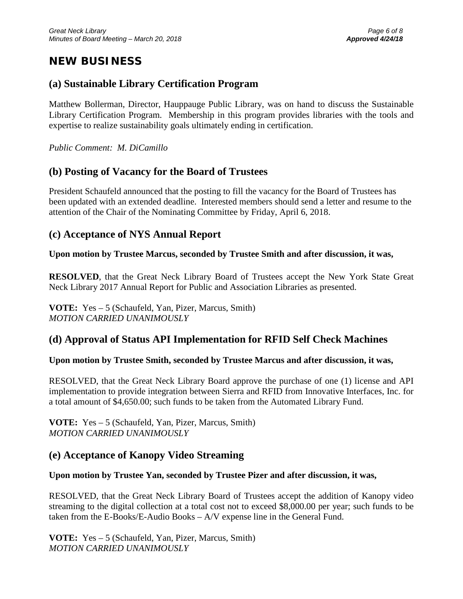# **NEW BUSINESS**

## **(a) Sustainable Library Certification Program**

Matthew Bollerman, Director, Hauppauge Public Library, was on hand to discuss the Sustainable Library Certification Program. Membership in this program provides libraries with the tools and expertise to realize sustainability goals ultimately ending in certification.

*Public Comment: M. DiCamillo*

# **(b) Posting of Vacancy for the Board of Trustees**

President Schaufeld announced that the posting to fill the vacancy for the Board of Trustees has been updated with an extended deadline. Interested members should send a letter and resume to the attention of the Chair of the Nominating Committee by Friday, April 6, 2018.

# **(c) Acceptance of NYS Annual Report**

**Upon motion by Trustee Marcus, seconded by Trustee Smith and after discussion, it was,**

**RESOLVED**, that the Great Neck Library Board of Trustees accept the New York State Great Neck Library 2017 Annual Report for Public and Association Libraries as presented.

**VOTE:** Yes – 5 (Schaufeld, Yan, Pizer, Marcus, Smith) *MOTION CARRIED UNANIMOUSLY* 

## **(d) Approval of Status API Implementation for RFID Self Check Machines**

## **Upon motion by Trustee Smith, seconded by Trustee Marcus and after discussion, it was,**

RESOLVED, that the Great Neck Library Board approve the purchase of one (1) license and API implementation to provide integration between Sierra and RFID from Innovative Interfaces, Inc. for a total amount of \$4,650.00; such funds to be taken from the Automated Library Fund.

**VOTE:** Yes – 5 (Schaufeld, Yan, Pizer, Marcus, Smith) *MOTION CARRIED UNANIMOUSLY*

## **(e) Acceptance of Kanopy Video Streaming**

## **Upon motion by Trustee Yan, seconded by Trustee Pizer and after discussion, it was,**

RESOLVED, that the Great Neck Library Board of Trustees accept the addition of Kanopy video streaming to the digital collection at a total cost not to exceed \$8,000.00 per year; such funds to be taken from the E-Books/E-Audio Books – A/V expense line in the General Fund.

**VOTE:** Yes – 5 (Schaufeld, Yan, Pizer, Marcus, Smith) *MOTION CARRIED UNANIMOUSLY*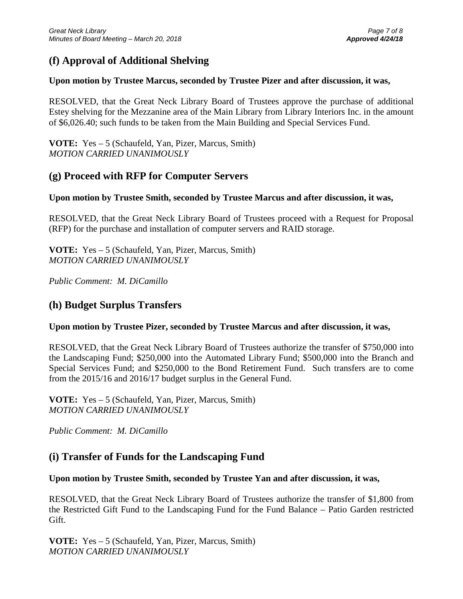## **(f) Approval of Additional Shelving**

## **Upon motion by Trustee Marcus, seconded by Trustee Pizer and after discussion, it was,**

RESOLVED, that the Great Neck Library Board of Trustees approve the purchase of additional Estey shelving for the Mezzanine area of the Main Library from Library Interiors Inc. in the amount of \$6,026.40; such funds to be taken from the Main Building and Special Services Fund.

**VOTE:** Yes – 5 (Schaufeld, Yan, Pizer, Marcus, Smith) *MOTION CARRIED UNANIMOUSLY*

## **(g) Proceed with RFP for Computer Servers**

## **Upon motion by Trustee Smith, seconded by Trustee Marcus and after discussion, it was,**

RESOLVED, that the Great Neck Library Board of Trustees proceed with a Request for Proposal (RFP) for the purchase and installation of computer servers and RAID storage.

**VOTE:** Yes – 5 (Schaufeld, Yan, Pizer, Marcus, Smith) *MOTION CARRIED UNANIMOUSLY*

*Public Comment: M. DiCamillo*

## **(h) Budget Surplus Transfers**

## **Upon motion by Trustee Pizer, seconded by Trustee Marcus and after discussion, it was,**

RESOLVED, that the Great Neck Library Board of Trustees authorize the transfer of \$750,000 into the Landscaping Fund; \$250,000 into the Automated Library Fund; \$500,000 into the Branch and Special Services Fund; and \$250,000 to the Bond Retirement Fund. Such transfers are to come from the 2015/16 and 2016/17 budget surplus in the General Fund.

**VOTE:** Yes – 5 (Schaufeld, Yan, Pizer, Marcus, Smith) *MOTION CARRIED UNANIMOUSLY*

*Public Comment: M. DiCamillo*

## **(i) Transfer of Funds for the Landscaping Fund**

## **Upon motion by Trustee Smith, seconded by Trustee Yan and after discussion, it was,**

RESOLVED, that the Great Neck Library Board of Trustees authorize the transfer of \$1,800 from the Restricted Gift Fund to the Landscaping Fund for the Fund Balance – Patio Garden restricted Gift.

**VOTE:** Yes – 5 (Schaufeld, Yan, Pizer, Marcus, Smith) *MOTION CARRIED UNANIMOUSLY*